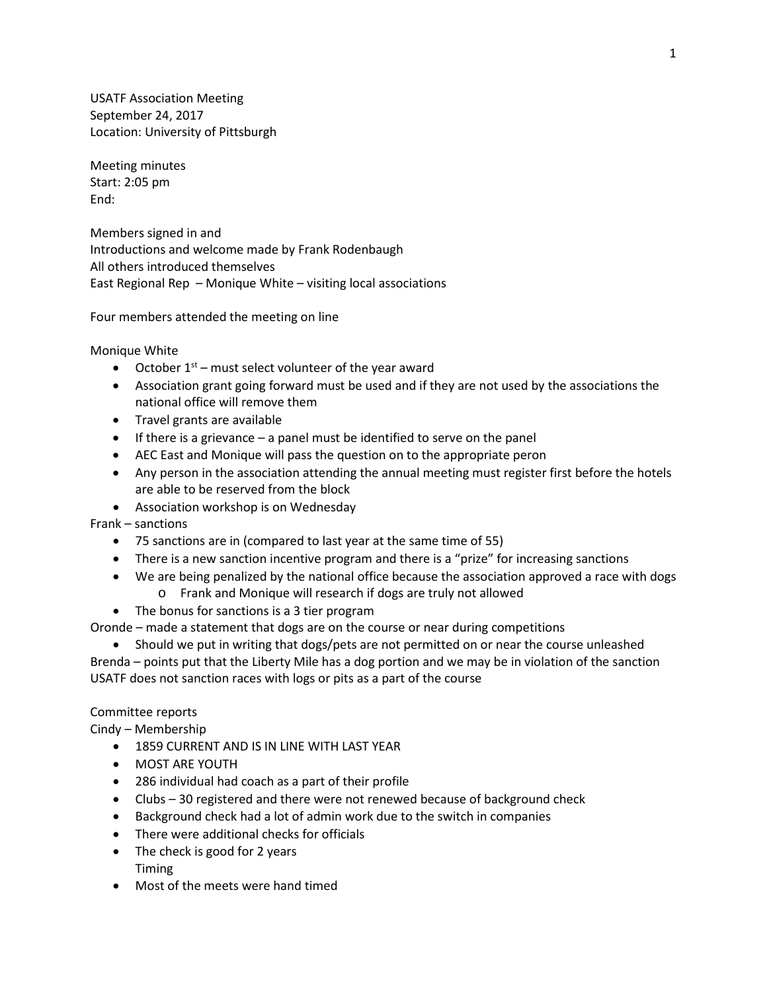USATF Association Meeting September 24, 2017 Location: University of Pittsburgh

Meeting minutes Start: 2:05 pm End:

Members signed in and Introductions and welcome made by Frank Rodenbaugh All others introduced themselves East Regional Rep – Monique White – visiting local associations

Four members attended the meeting on line

Monique White

- October  $1<sup>st</sup>$  must select volunteer of the year award
- Association grant going forward must be used and if they are not used by the associations the national office will remove them
- Travel grants are available
- If there is a grievance a panel must be identified to serve on the panel
- AEC East and Monique will pass the question on to the appropriate peron
- Any person in the association attending the annual meeting must register first before the hotels are able to be reserved from the block
- Association workshop is on Wednesday

Frank – sanctions

- 75 sanctions are in (compared to last year at the same time of 55)
- There is a new sanction incentive program and there is a "prize" for increasing sanctions
- We are being penalized by the national office because the association approved a race with dogs o Frank and Monique will research if dogs are truly not allowed
- The bonus for sanctions is a 3 tier program

Oronde – made a statement that dogs are on the course or near during competitions

• Should we put in writing that dogs/pets are not permitted on or near the course unleashed

Brenda – points put that the Liberty Mile has a dog portion and we may be in violation of the sanction USATF does not sanction races with logs or pits as a part of the course

#### Committee reports

Cindy – Membership

- 1859 CURRENT AND IS IN LINE WITH LAST YEAR
- MOST ARE YOUTH
- 286 individual had coach as a part of their profile
- Clubs 30 registered and there were not renewed because of background check
- Background check had a lot of admin work due to the switch in companies
- There were additional checks for officials
- The check is good for 2 years Timing
- Most of the meets were hand timed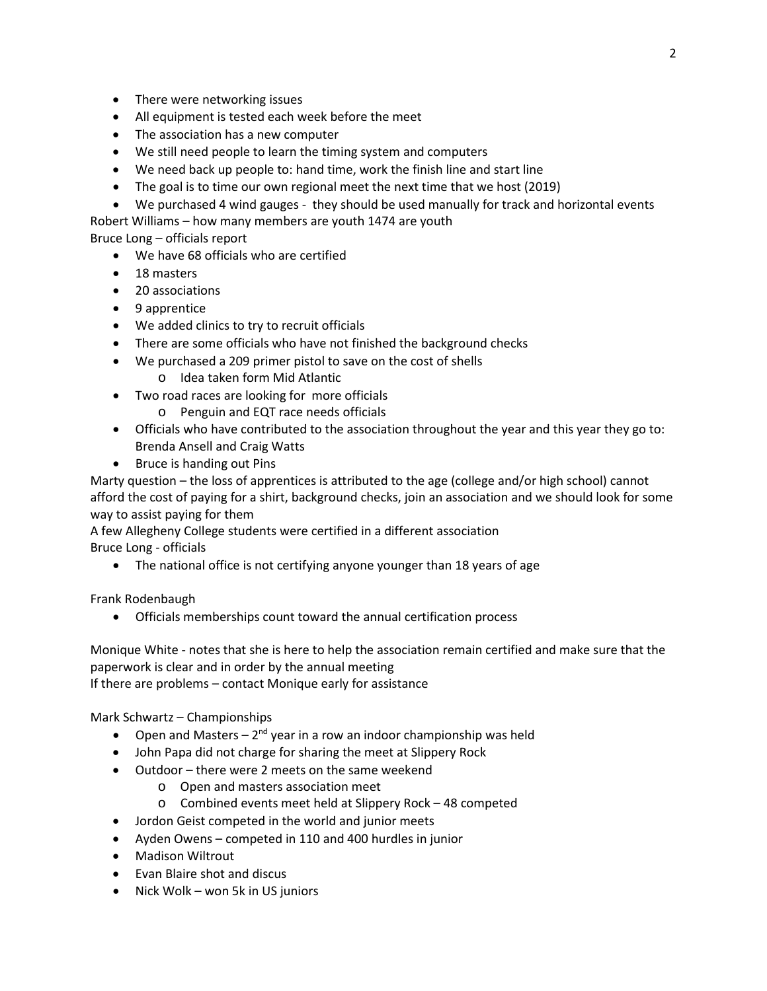- There were networking issues
- All equipment is tested each week before the meet
- The association has a new computer
- We still need people to learn the timing system and computers
- We need back up people to: hand time, work the finish line and start line
- The goal is to time our own regional meet the next time that we host (2019)
- We purchased 4 wind gauges they should be used manually for track and horizontal events
- Robert Williams how many members are youth 1474 are youth

Bruce Long – officials report

- We have 68 officials who are certified
- 18 masters
- 20 associations
- 9 apprentice
- We added clinics to try to recruit officials
- There are some officials who have not finished the background checks
- We purchased a 209 primer pistol to save on the cost of shells
	- o Idea taken form Mid Atlantic
- Two road races are looking for more officials
	- o Penguin and EQT race needs officials
- Officials who have contributed to the association throughout the year and this year they go to: Brenda Ansell and Craig Watts
- Bruce is handing out Pins

Marty question – the loss of apprentices is attributed to the age (college and/or high school) cannot afford the cost of paying for a shirt, background checks, join an association and we should look for some way to assist paying for them

A few Allegheny College students were certified in a different association Bruce Long - officials

• The national office is not certifying anyone younger than 18 years of age

Frank Rodenbaugh

• Officials memberships count toward the annual certification process

Monique White - notes that she is here to help the association remain certified and make sure that the paperwork is clear and in order by the annual meeting

If there are problems – contact Monique early for assistance

Mark Schwartz – Championships

- Open and Masters  $-2^{nd}$  year in a row an indoor championship was held
- John Papa did not charge for sharing the meet at Slippery Rock
- Outdoor there were 2 meets on the same weekend
	- o Open and masters association meet
	- o Combined events meet held at Slippery Rock 48 competed
- Jordon Geist competed in the world and junior meets
- Ayden Owens competed in 110 and 400 hurdles in junior
- Madison Wiltrout
- Evan Blaire shot and discus
- Nick Wolk won 5k in US juniors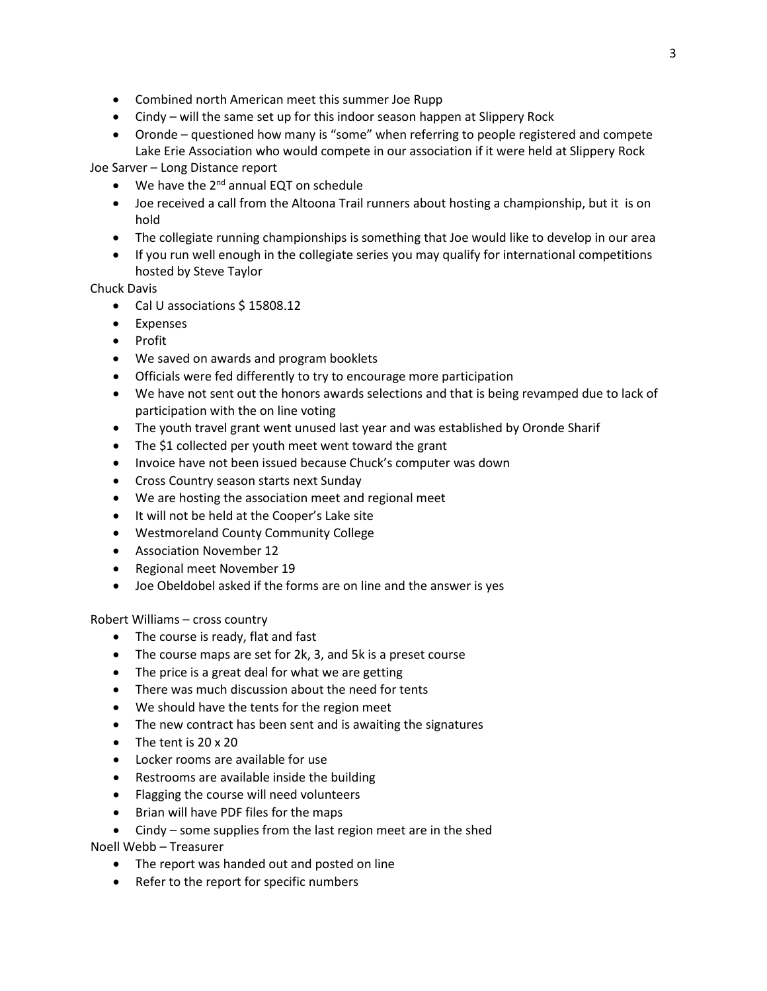- Combined north American meet this summer Joe Rupp
- Cindy will the same set up for this indoor season happen at Slippery Rock
- Oronde questioned how many is "some" when referring to people registered and compete Lake Erie Association who would compete in our association if it were held at Slippery Rock

Joe Sarver – Long Distance report

- $\bullet$  We have the 2<sup>nd</sup> annual EQT on schedule
- Joe received a call from the Altoona Trail runners about hosting a championship, but it is on hold
- The collegiate running championships is something that Joe would like to develop in our area
- If you run well enough in the collegiate series you may qualify for international competitions hosted by Steve Taylor

Chuck Davis

- Cal U associations \$15808.12
- Expenses
- Profit
- We saved on awards and program booklets
- Officials were fed differently to try to encourage more participation
- We have not sent out the honors awards selections and that is being revamped due to lack of participation with the on line voting
- The youth travel grant went unused last year and was established by Oronde Sharif
- The \$1 collected per youth meet went toward the grant
- Invoice have not been issued because Chuck's computer was down
- Cross Country season starts next Sunday
- We are hosting the association meet and regional meet
- It will not be held at the Cooper's Lake site
- Westmoreland County Community College
- Association November 12
- Regional meet November 19
- Joe Obeldobel asked if the forms are on line and the answer is yes

Robert Williams – cross country

- The course is ready, flat and fast
- The course maps are set for 2k, 3, and 5k is a preset course
- The price is a great deal for what we are getting
- There was much discussion about the need for tents
- We should have the tents for the region meet
- The new contract has been sent and is awaiting the signatures
- The tent is 20 x 20
- Locker rooms are available for use
- Restrooms are available inside the building
- Flagging the course will need volunteers
- Brian will have PDF files for the maps
- Cindy some supplies from the last region meet are in the shed

Noell Webb – Treasurer

- The report was handed out and posted on line
- Refer to the report for specific numbers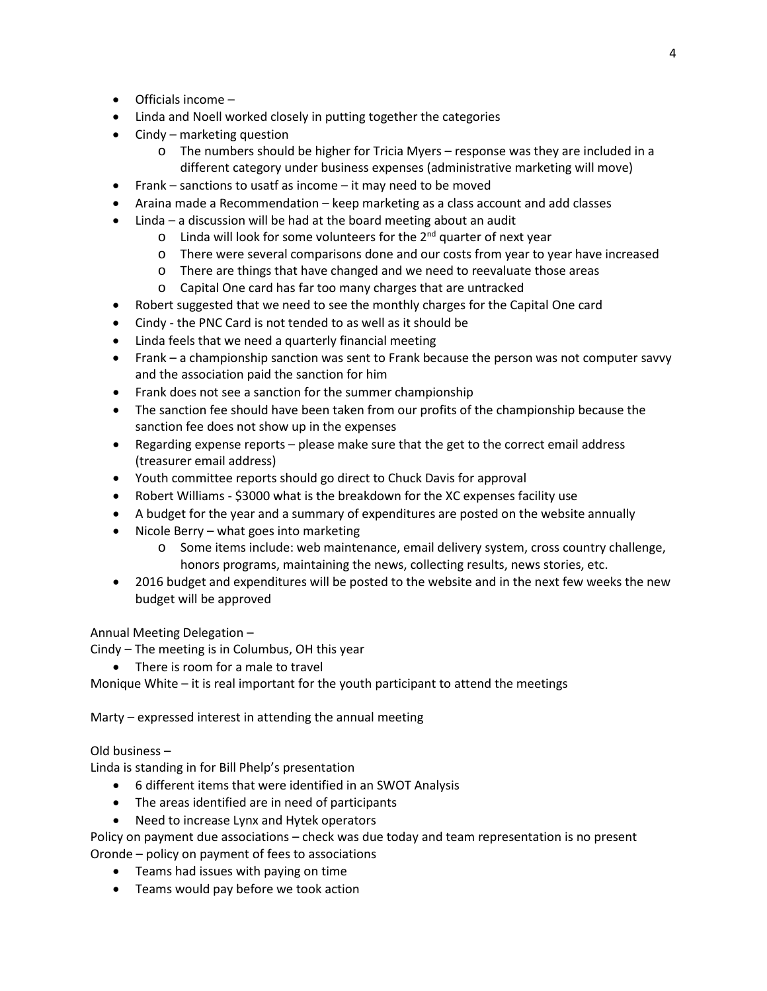- Officials income –
- Linda and Noell worked closely in putting together the categories
- Cindy marketing question
	- o The numbers should be higher for Tricia Myers response was they are included in a different category under business expenses (administrative marketing will move)
- Frank sanctions to usatf as income it may need to be moved
- Araina made a Recommendation keep marketing as a class account and add classes
- Linda a discussion will be had at the board meeting about an audit
	- $\circ$  Linda will look for some volunteers for the 2<sup>nd</sup> quarter of next year
	- o There were several comparisons done and our costs from year to year have increased
	- o There are things that have changed and we need to reevaluate those areas
	- o Capital One card has far too many charges that are untracked
- Robert suggested that we need to see the monthly charges for the Capital One card
- Cindy the PNC Card is not tended to as well as it should be
- Linda feels that we need a quarterly financial meeting
- Frank a championship sanction was sent to Frank because the person was not computer savvy and the association paid the sanction for him
- Frank does not see a sanction for the summer championship
- The sanction fee should have been taken from our profits of the championship because the sanction fee does not show up in the expenses
- Regarding expense reports please make sure that the get to the correct email address (treasurer email address)
- Youth committee reports should go direct to Chuck Davis for approval
- Robert Williams \$3000 what is the breakdown for the XC expenses facility use
- A budget for the year and a summary of expenditures are posted on the website annually
- Nicole Berry what goes into marketing
	- o Some items include: web maintenance, email delivery system, cross country challenge, honors programs, maintaining the news, collecting results, news stories, etc.
- 2016 budget and expenditures will be posted to the website and in the next few weeks the new budget will be approved

## Annual Meeting Delegation –

Cindy – The meeting is in Columbus, OH this year

• There is room for a male to travel

Monique White – it is real important for the youth participant to attend the meetings

Marty – expressed interest in attending the annual meeting

Old business –

Linda is standing in for Bill Phelp's presentation

- 6 different items that were identified in an SWOT Analysis
- The areas identified are in need of participants
- Need to increase Lynx and Hytek operators

Policy on payment due associations – check was due today and team representation is no present

Oronde – policy on payment of fees to associations

- Teams had issues with paying on time
- Teams would pay before we took action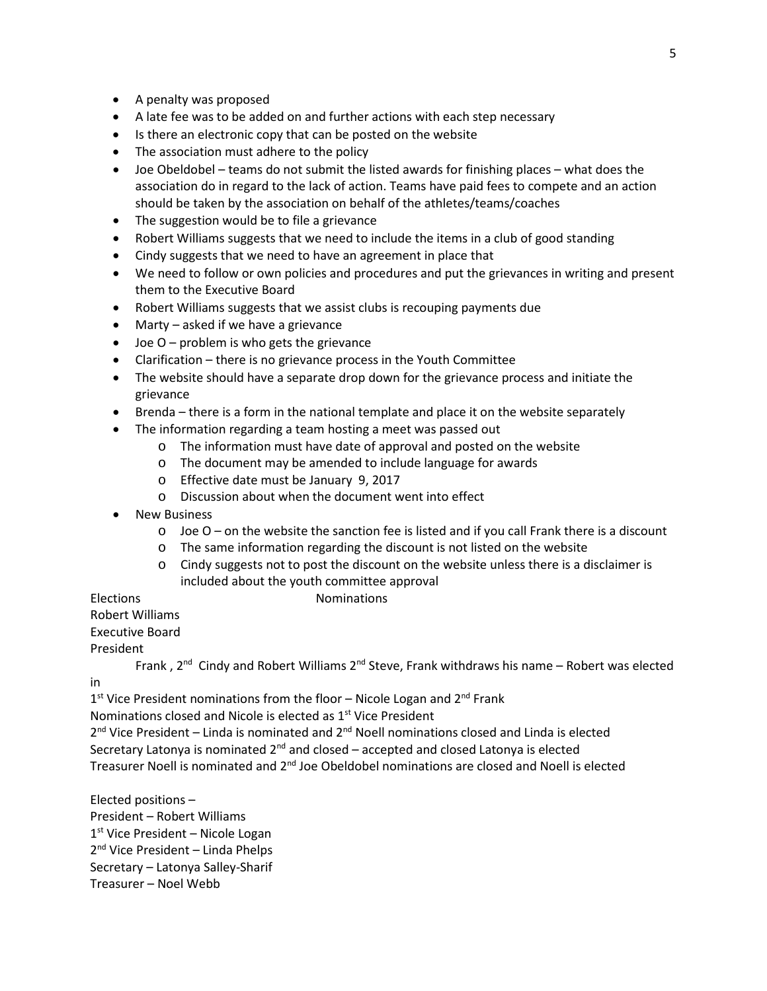- A penalty was proposed
- A late fee was to be added on and further actions with each step necessary
- Is there an electronic copy that can be posted on the website
- The association must adhere to the policy
- Joe Obeldobel teams do not submit the listed awards for finishing places what does the association do in regard to the lack of action. Teams have paid fees to compete and an action should be taken by the association on behalf of the athletes/teams/coaches
- The suggestion would be to file a grievance
- Robert Williams suggests that we need to include the items in a club of good standing
- Cindy suggests that we need to have an agreement in place that
- We need to follow or own policies and procedures and put the grievances in writing and present them to the Executive Board
- Robert Williams suggests that we assist clubs is recouping payments due
- Marty asked if we have a grievance
- $\bullet$  Joe O problem is who gets the grievance
- Clarification there is no grievance process in the Youth Committee
- The website should have a separate drop down for the grievance process and initiate the grievance
- Brenda there is a form in the national template and place it on the website separately
	- The information regarding a team hosting a meet was passed out
		- o The information must have date of approval and posted on the website
		- o The document may be amended to include language for awards
		- o Effective date must be January 9, 2017
		- o Discussion about when the document went into effect
- **New Business** 
	- $\circ$  Joe O on the website the sanction fee is listed and if you call Frank there is a discount
	- o The same information regarding the discount is not listed on the website
	- o Cindy suggests not to post the discount on the website unless there is a disclaimer is included about the youth committee approval

### Elections **Nominations**

# Robert Williams

Executive Board

President

in

Frank,  $2^{nd}$  Cindy and Robert Williams  $2^{nd}$  Steve, Frank withdraws his name – Robert was elected

 $1<sup>st</sup>$  Vice President nominations from the floor – Nicole Logan and  $2<sup>nd</sup>$  Frank

Nominations closed and Nicole is elected as 1<sup>st</sup> Vice President

 $2<sup>nd</sup>$  Vice President – Linda is nominated and  $2<sup>nd</sup>$  Noell nominations closed and Linda is elected Secretary Latonya is nominated  $2^{nd}$  and closed – accepted and closed Latonya is elected Treasurer Noell is nominated and  $2<sup>nd</sup>$  Joe Obeldobel nominations are closed and Noell is elected

Elected positions – President – Robert Williams  $1<sup>st</sup>$  Vice President – Nicole Logan 2<sup>nd</sup> Vice President – Linda Phelps Secretary – Latonya Salley-Sharif Treasurer – Noel Webb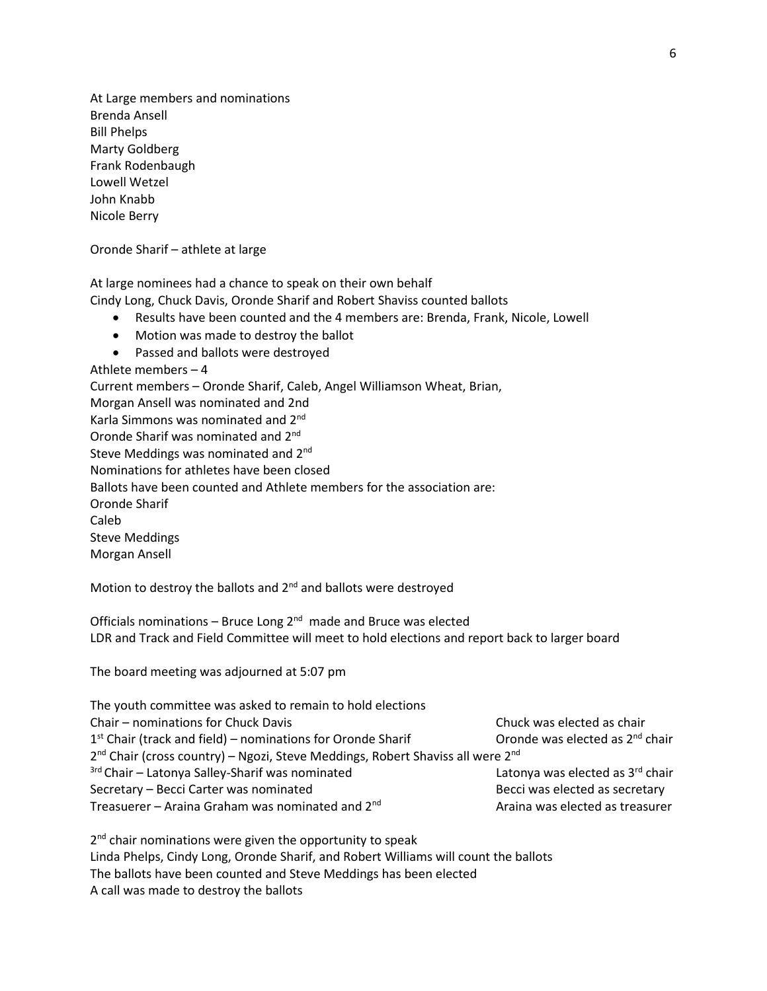At Large members and nominations Brenda Ansell Bill Phelps Marty Goldberg Frank Rodenbaugh Lowell Wetzel John Knabb Nicole Berry

Oronde Sharif – athlete at large

At large nominees had a chance to speak on their own behalf

Cindy Long, Chuck Davis, Oronde Sharif and Robert Shaviss counted ballots

- Results have been counted and the 4 members are: Brenda, Frank, Nicole, Lowell
- Motion was made to destroy the ballot
- Passed and ballots were destroyed

Athlete members – 4 Current members – Oronde Sharif, Caleb, Angel Williamson Wheat, Brian, Morgan Ansell was nominated and 2nd Karla Simmons was nominated and 2nd Oronde Sharif was nominated and 2nd Steve Meddings was nominated and 2<sup>nd</sup> Nominations for athletes have been closed Ballots have been counted and Athlete members for the association are: Oronde Sharif Caleb Steve Meddings Morgan Ansell

Motion to destroy the ballots and 2<sup>nd</sup> and ballots were destroyed

Officials nominations - Bruce Long  $2^{nd}$  made and Bruce was elected LDR and Track and Field Committee will meet to hold elections and report back to larger board

The board meeting was adjourned at 5:07 pm

| The youth committee was asked to remain to hold elections                                              |                                             |
|--------------------------------------------------------------------------------------------------------|---------------------------------------------|
| Chair - nominations for Chuck Davis                                                                    | Chuck was elected as chair                  |
| $1st$ Chair (track and field) – nominations for Oronde Sharif                                          | Oronde was elected as 2 <sup>nd</sup> chair |
| 2 <sup>nd</sup> Chair (cross country) – Ngozi, Steve Meddings, Robert Shaviss all were 2 <sup>nd</sup> |                                             |
| <sup>3rd</sup> Chair - Latonya Salley-Sharif was nominated                                             | Latonya was elected as 3rd chair            |
| Secretary - Becci Carter was nominated                                                                 | Becci was elected as secretary              |
| Treasuerer – Araina Graham was nominated and 2 <sup>nd</sup>                                           | Araina was elected as treasurer             |

2<sup>nd</sup> chair nominations were given the opportunity to speak Linda Phelps, Cindy Long, Oronde Sharif, and Robert Williams will count the ballots The ballots have been counted and Steve Meddings has been elected A call was made to destroy the ballots